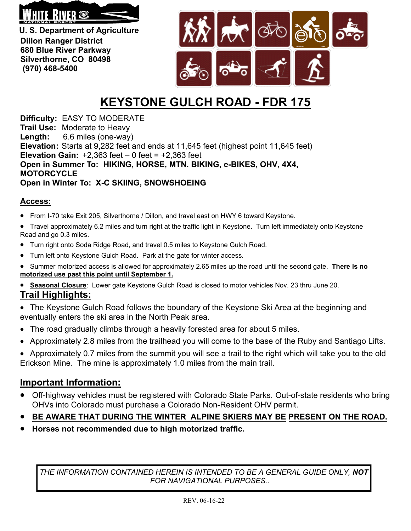

**U. S. Department of Agriculture Dillon Ranger District 680 Blue River Parkway Silverthorne, CO 80498 (970) 468-5400**



## **KEYSTONE GULCH ROAD - FDR 175**

**Difficulty:** EASY TO MODERATE **Trail Use:** Moderate to Heavy **Length:** 6.6 miles (one-way) **Elevation:** Starts at 9,282 feet and ends at 11,645 feet (highest point 11,645 feet) **Elevation Gain:**  $+2,363$  feet  $-0$  feet  $= +2,363$  feet **Open in Summer To: HIKING, HORSE, MTN. BIKING, e-BIKES, OHV, 4X4, MOTORCYCLE Open in Winter To: X-C SKIING, SNOWSHOEING**

## **Access:**

- From I-70 take Exit 205, Silverthorne / Dillon, and travel east on HWY 6 toward Keystone.
- Travel approximately 6.2 miles and turn right at the traffic light in Keystone. Turn left immediately onto Keystone Road and go 0.3 miles.
- Turn right onto Soda Ridge Road, and travel 0.5 miles to Keystone Gulch Road.
- Turn left onto Keystone Gulch Road. Park at the gate for winter access.
- Summer motorized access is allowed for approximately 2.65 miles up the road until the second gate. **There is no motorized use past this point until September 1.**
- **Seasonal Closure**: Lower gate Keystone Gulch Road is closed to motor vehicles Nov. 23 thru June 20. **Trail Highlights:**
- The Keystone Gulch Road follows the boundary of the Keystone Ski Area at the beginning and eventually enters the ski area in the North Peak area.
- The road gradually climbs through a heavily forested area for about 5 miles.
- Approximately 2.8 miles from the trailhead you will come to the base of the Ruby and Santiago Lifts.
- Approximately 0.7 miles from the summit you will see a trail to the right which will take you to the old Erickson Mine. The mine is approximately 1.0 miles from the main trail.

## **Important Information:**

- Off-highway vehicles must be registered with Colorado State Parks. Out-of-state residents who bring OHVs into Colorado must purchase a Colorado Non-Resident OHV permit.
- **BE AWARE THAT DURING THE WINTER ALPINE SKIERS MAY BE PRESENT ON THE ROAD.**
- **Horses not recommended due to high motorized traffic.**

*THE INFORMATION CONTAINED HEREIN IS INTENDED TO BE A GENERAL GUIDE ONLY, NOT FOR NAVIGATIONAL PURPOSES..*